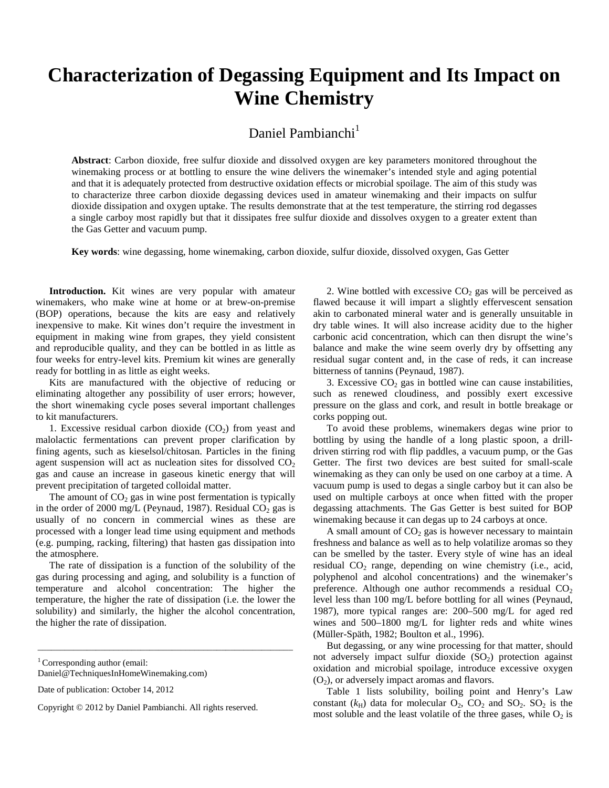# **Characterization of Degassing Equipment and Its Impact on Wine Chemistry**

Daniel Pambianchi $<sup>1</sup>$ </sup>

**Abstract**: Carbon dioxide, free sulfur dioxide and dissolved oxygen are key parameters monitored throughout the winemaking process or at bottling to ensure the wine delivers the winemaker's intended style and aging potential and that it is adequately protected from destructive oxidation effects or microbial spoilage. The aim of this study was to characterize three carbon dioxide degassing devices used in amateur winemaking and their impacts on sulfur dioxide dissipation and oxygen uptake. The results demonstrate that at the test temperature, the stirring rod degasses a single carboy most rapidly but that it dissipates free sulfur dioxide and dissolves oxygen to a greater extent than the Gas Getter and vacuum pump.

**Key words**: wine degassing, home winemaking, carbon dioxide, sulfur dioxide, dissolved oxygen, Gas Getter

**Introduction.** Kit wines are very popular with amateur winemakers, who make wine at home or at brew-on-premise (BOP) operations, because the kits are easy and relatively inexpensive to make. Kit wines don't require the investment in equipment in making wine from grapes, they yield consistent and reproducible quality, and they can be bottled in as little as four weeks for entry-level kits. Premium kit wines are generally ready for bottling in as little as eight weeks.

Kits are manufactured with the objective of reducing or eliminating altogether any possibility of user errors; however, the short winemaking cycle poses several important challenges to kit manufacturers.

1. Excessive residual carbon dioxide  $(CO<sub>2</sub>)$  from yeast and malolactic fermentations can prevent proper clarification by fining agents, such as kieselsol/chitosan. Particles in the fining agent suspension will act as nucleation sites for dissolved  $CO<sub>2</sub>$ gas and cause an increase in gaseous kinetic energy that will prevent precipitation of targeted colloidal matter.

The amount of  $CO<sub>2</sub>$  gas in wine post fermentation is typically in the order of 2000 mg/L (Peynaud, 1987). Residual  $CO<sub>2</sub>$  gas is usually of no concern in commercial wines as these are processed with a longer lead time using equipment and methods (e.g. pumping, racking, filtering) that hasten gas dissipation into the atmosphere.

The rate of dissipation is a function of the solubility of the gas during processing and aging, and solubility is a function of temperature and alcohol concentration: The higher the temperature, the higher the rate of dissipation (i.e. the lower the solubility) and similarly, the higher the alcohol concentration, the higher the rate of dissipation.

\_\_\_\_\_\_\_\_\_\_\_\_\_\_\_\_\_\_\_\_\_\_\_\_\_\_\_\_\_\_\_\_\_\_\_\_\_\_\_\_\_\_\_\_\_\_\_\_\_\_\_\_\_\_\_\_\_

2. Wine bottled with excessive  $CO<sub>2</sub>$  gas will be perceived as flawed because it will impart a slightly effervescent sensation akin to carbonated mineral water and is generally unsuitable in dry table wines. It will also increase acidity due to the higher carbonic acid concentration, which can then disrupt the wine's balance and make the wine seem overly dry by offsetting any residual sugar content and, in the case of reds, it can increase bitterness of tannins (Peynaud, 1987).

3. Excessive  $CO<sub>2</sub>$  gas in bottled wine can cause instabilities, such as renewed cloudiness, and possibly exert excessive pressure on the glass and cork, and result in bottle breakage or corks popping out.

To avoid these problems, winemakers degas wine prior to bottling by using the handle of a long plastic spoon, a drilldriven stirring rod with flip paddles, a vacuum pump, or the Gas Getter. The first two devices are best suited for small-scale winemaking as they can only be used on one carboy at a time. A vacuum pump is used to degas a single carboy but it can also be used on multiple carboys at once when fitted with the proper degassing attachments. The Gas Getter is best suited for BOP winemaking because it can degas up to 24 carboys at once.

A small amount of  $CO<sub>2</sub>$  gas is however necessary to maintain freshness and balance as well as to help volatilize aromas so they can be smelled by the taster. Every style of wine has an ideal residual  $CO<sub>2</sub>$  range, depending on wine chemistry (i.e., acid, polyphenol and alcohol concentrations) and the winemaker's preference. Although one author recommends a residual  $CO<sub>2</sub>$ level less than 100 mg/L before bottling for all wines (Peynaud, 1987), more typical ranges are: 200–500 mg/L for aged red wines and 500–1800 mg/L for lighter reds and white wines (Müller-Späth, 1982; Boulton et al., 1996).

But degassing, or any wine processing for that matter, should not adversely impact sulfur dioxide (SO<sub>2</sub>) protection against oxidation and microbial spoilage, introduce excessive oxygen  $(O<sub>2</sub>)$ , or adversely impact aromas and flavors.

Table 1 lists solubility, boiling point and Henry's Law constant  $(k_H)$  data for molecular  $O_2$ ,  $CO_2$  and  $SO_2$ .  $SO_2$  is the most soluble and the least volatile of the three gases, while  $O_2$  is

 $1$ Corresponding author (email:

Daniel@TechniquesInHomeWinemaking.com)

Date of publication: October 14, 2012

Copyright © 2012 by Daniel Pambianchi. All rights reserved.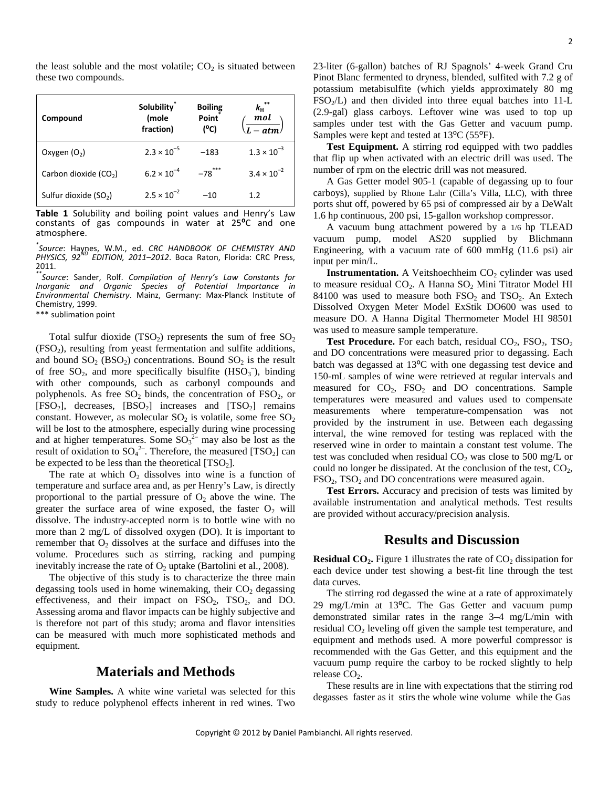the least soluble and the most volatile;  $CO<sub>2</sub>$  is situated between these two compounds.

| Compound                          | <b>Solubility</b><br>(mole<br>fraction) | <b>Boiling</b><br>Point<br>(°C) | $k_{\rm H}$ <sup>**</sup><br>$\ddot{\mathbf{m}}$ ol<br>$\overline{L - atm}$ |
|-----------------------------------|-----------------------------------------|---------------------------------|-----------------------------------------------------------------------------|
| Oxygen $(O_2)$                    | $2.3 \times 10^{-5}$                    | $-183$                          | $1.3 \times 10^{-3}$                                                        |
| Carbon dioxide (CO <sub>2</sub> ) | $6.2 \times 10^{-4}$                    | $-78$ ***                       | $3.4 \times 10^{-2}$                                                        |
| Sulfur dioxide (SO <sub>2</sub> ) | $2.5 \times 10^{-2}$                    | $-10$                           | 1.2                                                                         |

**Table 1** Solubility and boiling point values and Henry's Law constants of gas compounds in water at 25**⁰**C and one atmosphere.

*\* Source*: Haynes, W.M., ed. *CRC HANDBOOK OF CHEMISTRY AND PHYSICS, 92ND EDITION, 2011–2012*. Boca Raton, Florida: CRC Press, 2011.

*\*\*Source*: Sander, Rolf. *Compilation of Henry's Law Constants for Inorganic and Organic Species of Potential Importance in Environmental Chemistry*. Mainz, Germany: Max-Planck Institute of Chemistry, 1999.

\*\*\* sublimation point

Total sulfur dioxide  $(TSO_2)$  represents the sum of free  $SO_2$  $(FSO<sub>2</sub>)$ , resulting from yeast fermentation and sulfite additions, and bound  $SO_2$  (BSO<sub>2</sub>) concentrations. Bound  $SO_2$  is the result of free  $SO_2$ , and more specifically bisulfite (HSO<sub>3</sub><sup>-</sup>), binding with other compounds, such as carbonyl compounds and polyphenols. As free  $SO_2$  binds, the concentration of  $FSO_2$ , or  $[FSO<sub>2</sub>]$ , decreases,  $[BSO<sub>2</sub>]$  increases and  $[TSO<sub>2</sub>]$  remains constant. However, as molecular  $SO<sub>2</sub>$  is volatile, some free  $SO<sub>2</sub>$ will be lost to the atmosphere, especially during wine processing and at higher temperatures. Some  $SO_3^2$  may also be lost as the result of oxidation to  $SO_4^2$ . Therefore, the measured [TSO<sub>2</sub>] can be expected to be less than the theoretical  $[TSO<sub>2</sub>]$ .

The rate at which  $O_2$  dissolves into wine is a function of temperature and surface area and, as per Henry's Law, is directly proportional to the partial pressure of  $O_2$  above the wine. The greater the surface area of wine exposed, the faster  $O_2$  will dissolve. The industry-accepted norm is to bottle wine with no more than 2 mg/L of dissolved oxygen (DO). It is important to remember that  $O_2$  dissolves at the surface and diffuses into the volume. Procedures such as stirring, racking and pumping inevitably increase the rate of  $O_2$  uptake (Bartolini et al., 2008).

The objective of this study is to characterize the three main degassing tools used in home winemaking, their  $CO<sub>2</sub>$  degassing effectiveness, and their impact on  $FSO_2$ ,  $TSO_2$ , and DO. Assessing aroma and flavor impacts can be highly subjective and is therefore not part of this study; aroma and flavor intensities can be measured with much more sophisticated methods and equipment.

## **Materials and Methods**

**Wine Samples.** A white wine varietal was selected for this study to reduce polyphenol effects inherent in red wines. Two 23-liter (6-gallon) batches of RJ Spagnols' 4-week Grand Cru Pinot Blanc fermented to dryness, blended, sulfited with 7.2 g of potassium metabisulfite (which yields approximately 80 mg  $FSO<sub>2</sub>/L$ ) and then divided into three equal batches into 11-L (2.9-gal) glass carboys. Leftover wine was used to top up samples under test with the Gas Getter and vacuum pump. Samples were kept and tested at  $13^{\circ}C$  (55 $^{\circ}F$ ).

**Test Equipment.** A stirring rod equipped with two paddles that flip up when activated with an electric drill was used. The number of rpm on the electric drill was not measured.

A Gas Getter model 905-1 (capable of degassing up to four carboys), supplied by Rhone Lahr (Cilla's Villa, LLC), with three ports shut off, powered by 65 psi of compressed air by a DeWalt 1.6 hp continuous, 200 psi, 15-gallon workshop compressor.

A vacuum bung attachment powered by a 1/6 hp TLEAD vacuum pump, model AS20 supplied by Blichmann Engineering, with a vacuum rate of 600 mmHg (11.6 psi) air input per min/L.

**Instrumentation.** A Veitshoechheim  $CO<sub>2</sub>$  cylinder was used to measure residual CO<sub>2</sub>. A Hanna SO<sub>2</sub> Mini Titrator Model HI 84100 was used to measure both  $FSO<sub>2</sub>$  and  $TSO<sub>2</sub>$ . An Extech Dissolved Oxygen Meter Model ExStik DO600 was used to measure DO. A Hanna Digital Thermometer Model HI 98501 was used to measure sample temperature.

**Test Procedure.** For each batch, residual CO<sub>2</sub>, FSO<sub>2</sub>, TSO<sub>2</sub> and DO concentrations were measured prior to degassing. Each batch was degassed at 13<sup>o</sup>C with one degassing test device and 150-mL samples of wine were retrieved at regular intervals and measured for  $CO<sub>2</sub>$ ,  $FSO<sub>2</sub>$  and DO concentrations. Sample temperatures were measured and values used to compensate measurements where temperature-compensation was not provided by the instrument in use. Between each degassing interval, the wine removed for testing was replaced with the reserved wine in order to maintain a constant test volume. The test was concluded when residual  $CO<sub>2</sub>$  was close to 500 mg/L or could no longer be dissipated. At the conclusion of the test,  $CO<sub>2</sub>$ ,  $\text{FSO}_2$ ,  $\text{TSO}_2$  and DO concentrations were measured again.

**Test Errors.** Accuracy and precision of tests was limited by available instrumentation and analytical methods. Test results are provided without accuracy/precision analysis.

### **Results and Discussion**

**Residual CO<sub>2</sub>**. Figure 1 illustrates the rate of CO<sub>2</sub> dissipation for each device under test showing a best-fit line through the test data curves.

The stirring rod degassed the wine at a rate of approximately 29 mg/L/min at  $13^{\circ}$ C. The Gas Getter and vacuum pump demonstrated similar rates in the range 3–4 mg/L/min with residual CO<sub>2</sub> leveling off given the sample test temperature, and equipment and methods used. A more powerful compressor is recommended with the Gas Getter, and this equipment and the vacuum pump require the carboy to be rocked slightly to help release  $CO<sub>2</sub>$ .

These results are in line with expectations that the stirring rod degasses faster as it stirs the whole wine volume while the Gas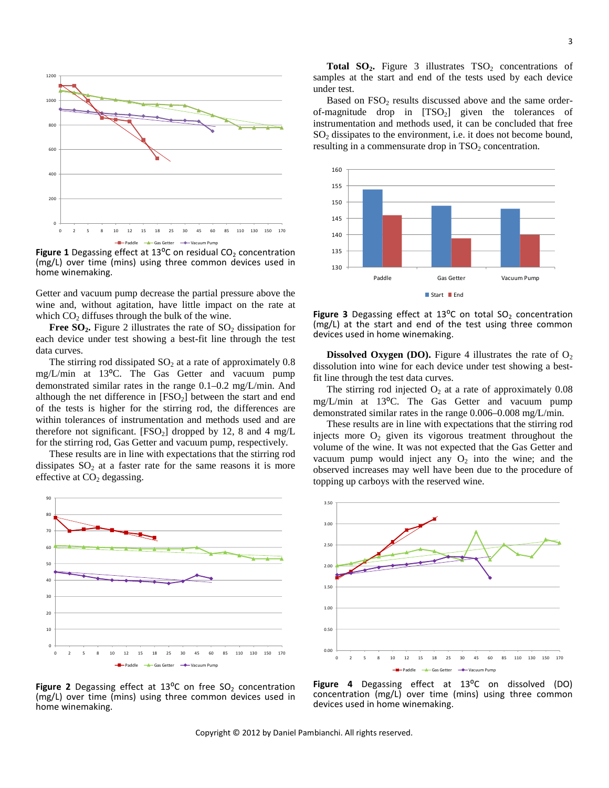

**Figure 1** Degassing effect at 13°C on residual CO<sub>2</sub> concentration (mg/L) over time (mins) using three common devices used in home winemaking.

Getter and vacuum pump decrease the partial pressure above the wine and, without agitation, have little impact on the rate at which  $CO<sub>2</sub>$  diffuses through the bulk of the wine.

**Free SO<sub>2</sub>**. Figure 2 illustrates the rate of SO<sub>2</sub> dissipation for each device under test showing a best-fit line through the test data curves.

The stirring rod dissipated  $SO<sub>2</sub>$  at a rate of approximately 0.8 mg/L/min at 13<sup>o</sup>C. The Gas Getter and vacuum pump demonstrated similar rates in the range 0.1–0.2 mg/L/min. And although the net difference in  $[FSO_2]$  between the start and end of the tests is higher for the stirring rod, the differences are within tolerances of instrumentation and methods used and are therefore not significant.  $[FSO<sub>2</sub>]$  dropped by 12, 8 and 4 mg/L for the stirring rod, Gas Getter and vacuum pump, respectively.

These results are in line with expectations that the stirring rod dissipates  $SO<sub>2</sub>$  at a faster rate for the same reasons it is more effective at  $CO<sub>2</sub>$  degassing.



**Figure 2** Degassing effect at 13<sup>o</sup>C on free SO<sub>2</sub> concentration (mg/L) over time (mins) using three common devices used in home winemaking.

**Total SO<sub>2</sub>.** Figure 3 illustrates  $TSO<sub>2</sub>$  concentrations of samples at the start and end of the tests used by each device under test.

Based on  $FSO<sub>2</sub>$  results discussed above and the same orderof-magnitude drop in  $[TSO_2]$  given the tolerances of instrumentation and methods used, it can be concluded that free  $SO<sub>2</sub>$  dissipates to the environment, i.e. it does not become bound, resulting in a commensurate drop in  $TSO<sub>2</sub>$  concentration.



**Figure 3** Degassing effect at  $13^{\circ}$ C on total  $SO_2$  concentration (mg/L) at the start and end of the test using three common devices used in home winemaking.

**Dissolved Oxygen (DO).** Figure 4 illustrates the rate of  $O_2$ dissolution into wine for each device under test showing a bestfit line through the test data curves.

The stirring rod injected  $O_2$  at a rate of approximately 0.08 mg/L/min at 13<sup>o</sup>C. The Gas Getter and vacuum pump demonstrated similar rates in the range 0.006–0.008 mg/L/min.

These results are in line with expectations that the stirring rod injects more  $O_2$  given its vigorous treatment throughout the volume of the wine. It was not expected that the Gas Getter and vacuum pump would inject any  $O_2$  into the wine; and the observed increases may well have been due to the procedure of topping up carboys with the reserved wine.



Figure 4 Degassing effect at 13<sup>o</sup>C on dissolved (DO) concentration (mg/L) over time (mins) using three common devices used in home winemaking.